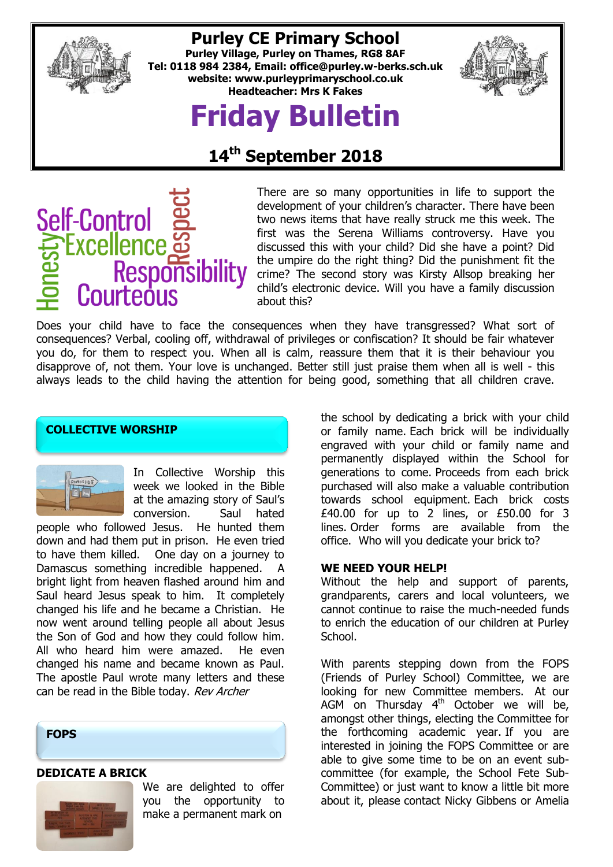

### **Purley CE Primary School**

**Purley Village, Purley on Thames, RG8 8AF Tel: 0118 984 2384, Email: [office@purley.w-berks.sch.uk](mailto:office@purley.w-berks.sch.uk) website: www.purleyprimaryschool.co.uk Headteacher: Mrs K Fakes**

# **Friday Bulletin**



## **14th September 2018**



There are so many opportunities in life to support the development of your children's character. There have been two news items that have really struck me this week. The first was the Serena Williams controversy. Have you discussed this with your child? Did she have a point? Did the umpire do the right thing? Did the punishment fit the crime? The second story was Kirsty Allsop breaking her child's electronic device. Will you have a family discussion about this?

Does your child have to face the consequences when they have transgressed? What sort of consequences? Verbal, cooling off, withdrawal of privileges or confiscation? It should be fair whatever you do, for them to respect you. When all is calm, reassure them that it is their behaviour you disapprove of, not them. Your love is unchanged. Better still just praise them when all is well - this always leads to the child having the attention for being good, something that all children crave.

#### **COLLECTIVE WORSHIP**



In Collective Worship this week we looked in the Bible at the amazing story of Saul's conversion. Saul hated

people who followed Jesus. He hunted them down and had them put in prison. He even tried to have them killed. One day on a journey to Damascus something incredible happened. A bright light from heaven flashed around him and Saul heard Jesus speak to him. It completely changed his life and he became a Christian. He now went around telling people all about Jesus the Son of God and how they could follow him. All who heard him were amazed. He even changed his name and became known as Paul. The apostle Paul wrote many letters and these can be read in the Bible today. Rev Archer



#### **DEDICATE A BRICK**



We are delighted to offer you the opportunity to make a permanent mark on

the school by dedicating a brick with your child or family name. Each brick will be individually engraved with your child or family name and permanently displayed within the School for generations to come. Proceeds from each brick purchased will also make a valuable contribution towards school equipment. Each brick costs £40.00 for up to 2 lines, or £50.00 for 3 lines. Order forms are available from the office. Who will you dedicate your brick to?

#### **WE NEED YOUR HELP!**

Without the help and support of parents, grandparents, carers and local volunteers, we cannot continue to raise the much-needed funds to enrich the education of our children at Purley School.

With parents stepping down from the FOPS (Friends of Purley School) Committee, we are looking for new Committee members. At our AGM on Thursday  $4<sup>th</sup>$  October we will be, amongst other things, electing the Committee for the forthcoming academic year. If you are interested in joining the FOPS Committee or are able to give some time to be on an event subcommittee (for example, the School Fete Sub-Committee) or just want to know a little bit more about it, please contact Nicky Gibbens or Amelia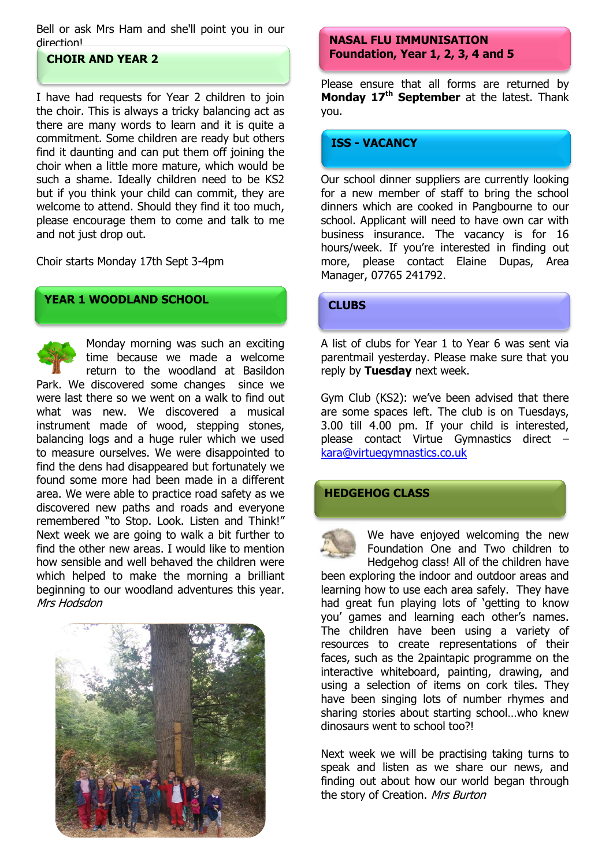Bell or ask Mrs Ham and she'll point you in our direction!

#### **CHOIR AND YEAR 2**

I have had requests for Year 2 children to join the choir. This is always a tricky balancing act as there are many words to learn and it is quite a commitment. Some children are ready but others find it daunting and can put them off joining the choir when a little more mature, which would be such a shame. Ideally children need to be KS2 but if you think your child can commit, they are welcome to attend. Should they find it too much, please encourage them to come and talk to me and not just drop out.

Choir starts Monday 17th Sept 3-4pm

#### **YEAR 1 WOODLAND SCHOOL**

Monday morning was such an exciting time because we made a welcome return to the woodland at Basildon Park. We discovered some changes since we were last there so we went on a walk to find out what was new. We discovered a musical instrument made of wood, stepping stones, balancing logs and a huge ruler which we used to measure ourselves. We were disappointed to find the dens had disappeared but fortunately we found some more had been made in a different area. We were able to practice road safety as we discovered new paths and roads and everyone remembered "to Stop. Look. Listen and Think!" Next week we are going to walk a bit further to find the other new areas. I would like to mention how sensible and well behaved the children were which helped to make the morning a brilliant beginning to our woodland adventures this year. Mrs Hodsdon



#### **NASAL FLU IMMUNISATION Foundation, Year 1, 2, 3, 4 and 5**

Please ensure that all forms are returned by **Monday 17th September** at the latest. Thank you.

#### **ISS - VACANCY**

Our school dinner suppliers are currently looking for a new member of staff to bring the school dinners which are cooked in Pangbourne to our school. Applicant will need to have own car with business insurance. The vacancy is for 16 hours/week. If you're interested in finding out more, please contact Elaine Dupas, Area Manager, 07765 241792.

#### **CLUBS**

A list of clubs for Year 1 to Year 6 was sent via parentmail yesterday. Please make sure that you reply by **Tuesday** next week.

Gym Club (KS2): we've been advised that there are some spaces left. The club is on Tuesdays, 3.00 till 4.00 pm. If your child is interested, please contact Virtue Gymnastics direct – [kara@virtuegymnastics.co.uk](mailto:kara@virtuegymnastics.co.uk)

#### **HEDGEHOG CLASS**



We have enjoyed welcoming the new Foundation One and Two children to Hedgehog class! All of the children have

been exploring the indoor and outdoor areas and learning how to use each area safely. They have had great fun playing lots of 'getting to know you' games and learning each other's names. The children have been using a variety of resources to create representations of their faces, such as the 2paintapic programme on the interactive whiteboard, painting, drawing, and using a selection of items on cork tiles. They have been singing lots of number rhymes and sharing stories about starting school…who knew dinosaurs went to school too?!

Next week we will be practising taking turns to speak and listen as we share our news, and finding out about how our world began through the story of Creation. Mrs Burton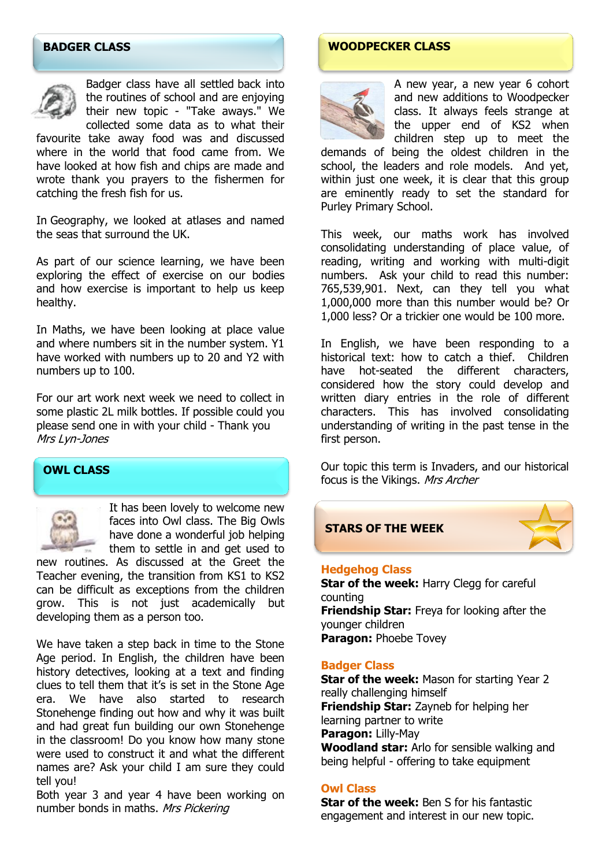#### **BADGER CLASS**



Badger class have all settled back into the routines of school and are enjoying their new topic - "Take aways." We collected some data as to what their

favourite take away food was and discussed where in the world that food came from. We have looked at how fish and chips are made and wrote thank you prayers to the fishermen for catching the fresh fish for us.

In Geography, we looked at atlases and named the seas that surround the UK.

As part of our science learning, we have been exploring the effect of exercise on our bodies and how exercise is important to help us keep healthy.

In Maths, we have been looking at place value and where numbers sit in the number system. Y1 have worked with numbers up to 20 and Y2 with numbers up to 100.

For our art work next week we need to collect in some plastic 2L milk bottles. If possible could you please send one in with your child - Thank you Mrs Lyn-Jones

#### **OWL CLASS**



It has been lovely to welcome new faces into Owl class. The Big Owls have done a wonderful job helping them to settle in and get used to

new routines. As discussed at the Greet the Teacher evening, the transition from KS1 to KS2 can be difficult as exceptions from the children grow. This is not just academically but developing them as a person too.

We have taken a step back in time to the Stone Age period. In English, the children have been history detectives, looking at a text and finding clues to tell them that it's is set in the Stone Age era. We have also started to research Stonehenge finding out how and why it was built and had great fun building our own Stonehenge in the classroom! Do you know how many stone were used to construct it and what the different names are? Ask your child I am sure they could tell you!

Both year 3 and year 4 have been working on number bonds in maths. Mrs Pickering

#### **WOODPECKER CLASS**



A new year, a new year 6 cohort and new additions to Woodpecker class. It always feels strange at the upper end of KS2 when children step up to meet the

demands of being the oldest children in the school, the leaders and role models. And yet, within just one week, it is clear that this group are eminently ready to set the standard for Purley Primary School.

This week, our maths work has involved consolidating understanding of place value, of reading, writing and working with multi-digit numbers. Ask your child to read this number: 765,539,901. Next, can they tell you what 1,000,000 more than this number would be? Or 1,000 less? Or a trickier one would be 100 more.

In English, we have been responding to a historical text: how to catch a thief. Children have hot-seated the different characters, considered how the story could develop and written diary entries in the role of different characters. This has involved consolidating understanding of writing in the past tense in the first person.

Our topic this term is Invaders, and our historical focus is the Vikings. Mrs Archer

#### **STARS OF THE WEEK**



#### **Hedgehog Class**

**Star of the week: Harry Clegg for careful** counting **Friendship Star:** Freya for looking after the younger children **Paragon:** Phoebe Tovey

#### **Badger Class**

**Star of the week:** Mason for starting Year 2 really challenging himself **Friendship Star:** Zayneb for helping her learning partner to write **Paragon:** Lilly-May **Woodland star:** Arlo for sensible walking and being helpful - offering to take equipment

#### **Owl Class**

**Star of the week:** Ben S for his fantastic engagement and interest in our new topic.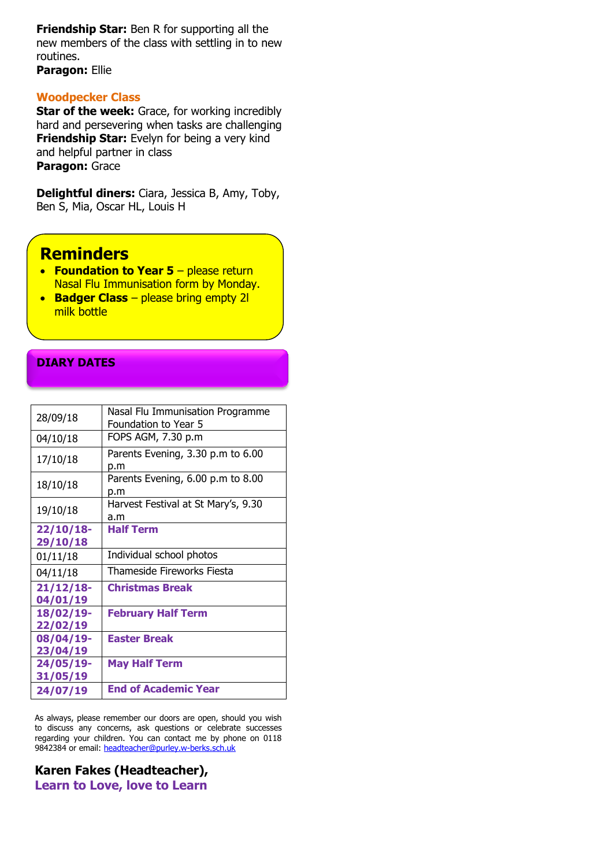**Friendship Star:** Ben R for supporting all the new members of the class with settling in to new routines.

**Paragon:** Ellie

#### **Woodpecker Class**

**Star of the week:** Grace, for working incredibly hard and persevering when tasks are challenging **Friendship Star:** Evelyn for being a very kind and helpful partner in class **Paragon:** Grace

**Delightful diners:** Ciara, Jessica B, Amy, Toby, Ben S, Mia, Oscar HL, Louis H

#### **Reminders**

- **Foundation to Year 5** please return Nasal Flu Immunisation form by Monday.
- **Badger Class** please bring empty 2l milk bottle

#### **DIARY DATES**

| 28/09/18                 | Nasal Flu Immunisation Programme<br>Foundation to Year 5 |
|--------------------------|----------------------------------------------------------|
| 04/10/18                 | FOPS AGM, 7.30 p.m                                       |
| 17/10/18                 | Parents Evening, 3.30 p.m to 6.00<br>p.m                 |
| 18/10/18                 | Parents Evening, 6.00 p.m to 8.00<br>p.m                 |
| 19/10/18                 | Harvest Festival at St Mary's, 9.30<br>a.m               |
| $22/10/18$ -<br>29/10/18 | <b>Half Term</b>                                         |
| 01/11/18                 | Individual school photos                                 |
| 04/11/18                 | Thameside Fireworks Fiesta                               |
| $21/12/18$ -<br>04/01/19 | <b>Christmas Break</b>                                   |
| 18/02/19-<br>22/02/19    | <b>February Half Term</b>                                |
| 08/04/19-<br>23/04/19    | <b>Easter Break</b>                                      |
| 24/05/19-<br>31/05/19    | <b>May Half Term</b>                                     |
| 24/07/19                 | <b>End of Academic Year</b>                              |

As always, please remember our doors are open, should you wish to discuss any concerns, ask questions or celebrate successes regarding your children. You can contact me by phone on 0118 9842384 or email: [headteacher@purley.w-berks.sch.uk](mailto:headteacher@purley.w-berks.sch.uk)

**Karen Fakes (Headteacher), Learn to Love, love to Learn**